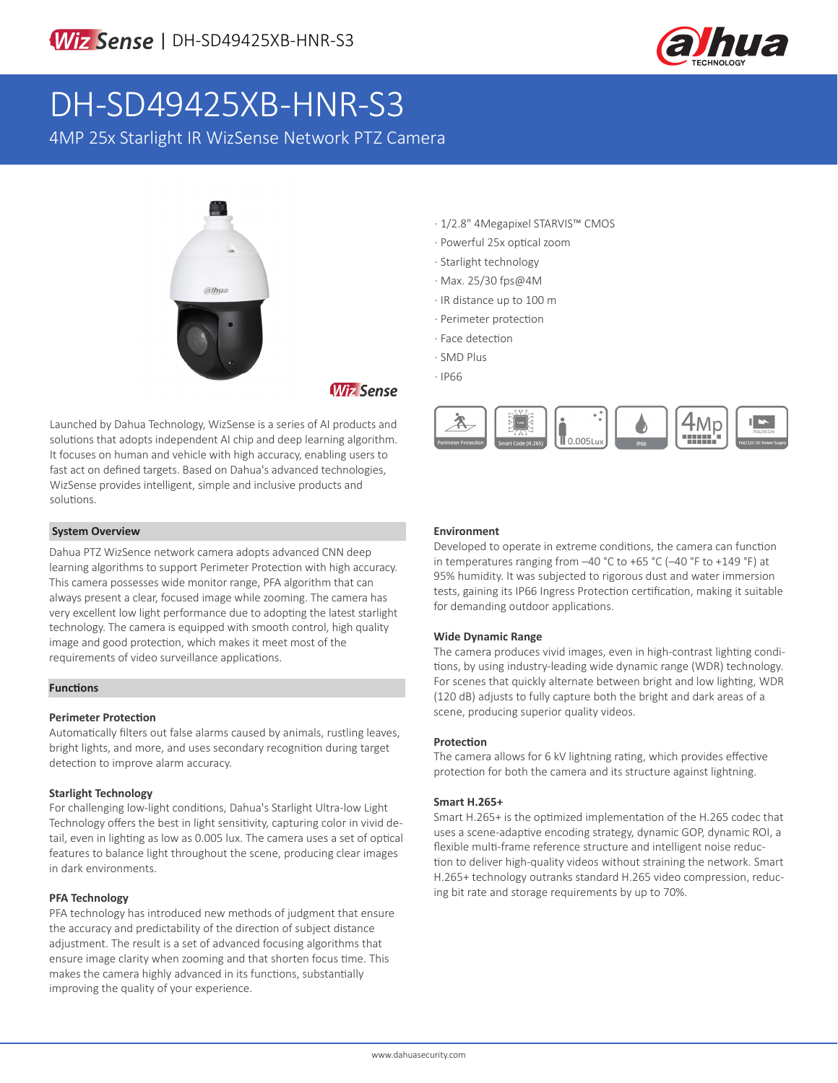

# DH-SD49425XB-HNR-S3

4MP 25x Starlight IR WizSense Network PTZ Camera



**Wiz Sense** 

Launched by Dahua Technology, WizSense is a series of AI products and solutions that adopts independent AI chip and deep learning algorithm. It focuses on human and vehicle with high accuracy, enabling users to fast act on defined targets. Based on Dahua's advanced technologies, WizSense provides intelligent, simple and inclusive products and solutions.

#### **System Overview**

Dahua PTZ WizSence network camera adopts advanced CNN deep learning algorithms to support Perimeter Protection with high accuracy. This camera possesses wide monitor range, PFA algorithm that can always present a clear, focused image while zooming. The camera has very excellent low light performance due to adopting the latest starlight technology. The camera is equipped with smooth control, high quality image and good protection, which makes it meet most of the requirements of video surveillance applications.

#### **Functions**

#### **Perimeter Protection**

Automatically filters out false alarms caused by animals, rustling leaves, bright lights, and more, and uses secondary recognition during target detection to improve alarm accuracy.

#### **Starlight Technology**

For challenging low-light conditions, Dahua's Starlight Ultra-low Light Technology offers the best in light sensitivity, capturing color in vivid detail, even in lighting as low as 0.005 lux. The camera uses a set of optical features to balance light throughout the scene, producing clear images in dark environments.

#### **PFA Technology**

PFA technology has introduced new methods of judgment that ensure the accuracy and predictability of the direction of subject distance adjustment. The result is a set of advanced focusing algorithms that ensure image clarity when zooming and that shorten focus time. This makes the camera highly advanced in its functions, substantially improving the quality of your experience.

- · 1/2.8" 4Megapixel STARVIS™ CMOS
- · Powerful 25x optical zoom
- · Starlight technology
- · Max. 25/30 fps@4M
- · IR distance up to 100 m
- · Perimeter protection
- · Face detection
- · SMD Plus
- · IP66



#### **Environment**

Developed to operate in extreme conditions, the camera can function in temperatures ranging from –40 °C to +65 °C (–40 °F to +149 °F) at 95% humidity. It was subjected to rigorous dust and water immersion tests, gaining its IP66 Ingress Protection certification, making it suitable for demanding outdoor applications.

#### **Wide Dynamic Range**

The camera produces vivid images, even in high-contrast lighting conditions, by using industry-leading wide dynamic range (WDR) technology. For scenes that quickly alternate between bright and low lighting, WDR (120 dB) adjusts to fully capture both the bright and dark areas of a scene, producing superior quality videos.

#### **Protection**

The camera allows for 6 kV lightning rating, which provides effective protection for both the camera and its structure against lightning.

#### **Smart H.265+**

Smart H.265+ is the optimized implementation of the H.265 codec that uses a scene-adaptive encoding strategy, dynamic GOP, dynamic ROI, a flexible multi-frame reference structure and intelligent noise reduction to deliver high-quality videos without straining the network. Smart H.265+ technology outranks standard H.265 video compression, reducing bit rate and storage requirements by up to 70%.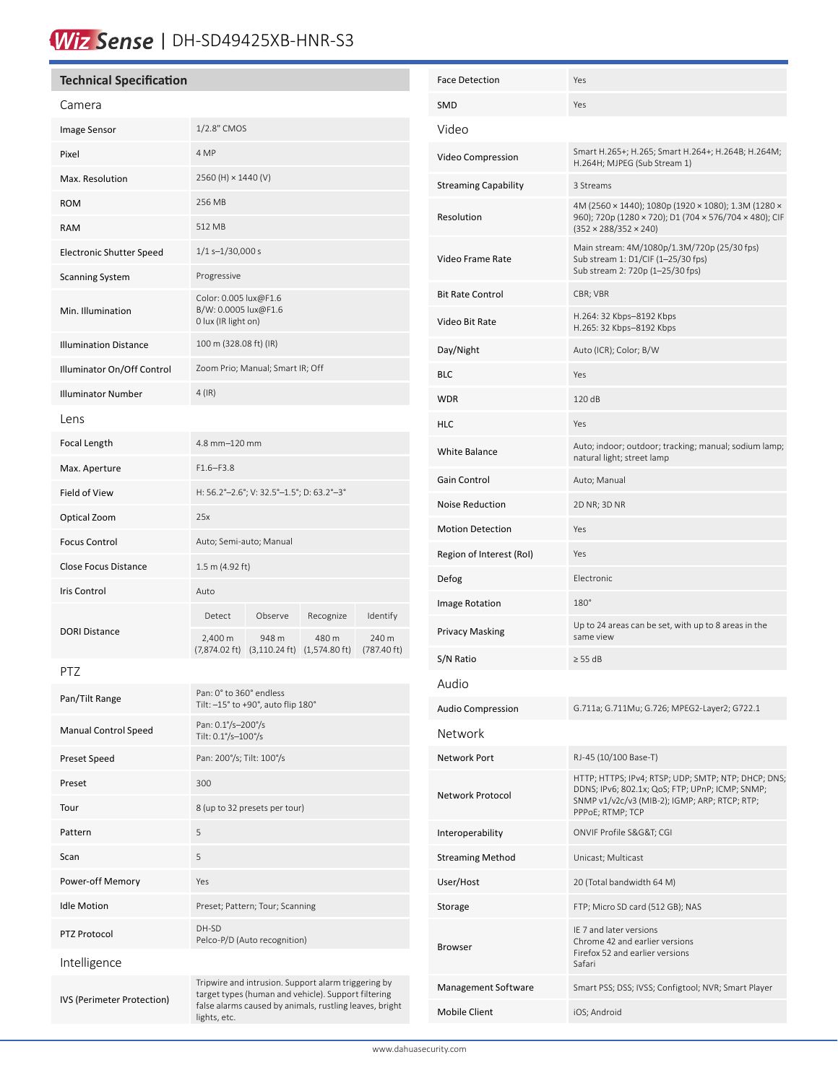# Wiz Sense | DH-SD49425XB-HNR-S3

| <b>Technical Specification</b>                                                                                                           |                                                                                             |           | <b>Face Detection</b>          |                                           | Yes                                                                      |                                                                                                                                                                             |  |
|------------------------------------------------------------------------------------------------------------------------------------------|---------------------------------------------------------------------------------------------|-----------|--------------------------------|-------------------------------------------|--------------------------------------------------------------------------|-----------------------------------------------------------------------------------------------------------------------------------------------------------------------------|--|
| Camera                                                                                                                                   |                                                                                             |           |                                | <b>SMD</b>                                |                                                                          | Yes                                                                                                                                                                         |  |
| Image Sensor                                                                                                                             | 1/2.8" CMOS                                                                                 |           |                                | Video                                     |                                                                          |                                                                                                                                                                             |  |
| Pixel                                                                                                                                    | 4 MP                                                                                        |           |                                |                                           | Video Compression                                                        | Smart H.265+; H.265; Smart H.264+; H.264B; H.264M;<br>H.264H; MJPEG (Sub Stream 1)                                                                                          |  |
| Max. Resolution                                                                                                                          | 2560 (H) × 1440 (V)                                                                         |           |                                |                                           | <b>Streaming Capability</b>                                              | 3 Streams                                                                                                                                                                   |  |
| <b>ROM</b>                                                                                                                               | 256 MB                                                                                      |           |                                |                                           |                                                                          | 4M (2560 × 1440); 1080p (1920 × 1080); 1.3M (1280 ×<br>960); 720p (1280 × 720); D1 (704 × 576/704 × 480); CIF<br>$(352 \times 288/352 \times 240)$                          |  |
| RAM                                                                                                                                      | 512 MB                                                                                      |           |                                | Resolution                                |                                                                          |                                                                                                                                                                             |  |
| <b>Electronic Shutter Speed</b>                                                                                                          | $1/1$ s-1/30,000 s                                                                          |           |                                |                                           | Video Frame Rate                                                         | Main stream: 4M/1080p/1.3M/720p (25/30 fps)<br>Sub stream 1: D1/CIF (1-25/30 fps)                                                                                           |  |
| <b>Scanning System</b>                                                                                                                   | Progressive                                                                                 |           |                                |                                           |                                                                          | Sub stream 2: 720p (1-25/30 fps)                                                                                                                                            |  |
| Min. Illumination                                                                                                                        | Color: 0.005 lux@F1.6<br>B/W: 0.0005 lux@F1.6<br>0 lux (IR light on)                        |           |                                | <b>Bit Rate Control</b><br>Video Bit Rate |                                                                          | CBR; VBR<br>H.264: 32 Kbps-8192 Kbps<br>H.265: 32 Kbps-8192 Kbps                                                                                                            |  |
| <b>Illumination Distance</b>                                                                                                             | 100 m (328.08 ft) (IR)                                                                      |           |                                | Day/Night                                 |                                                                          | Auto (ICR); Color; B/W                                                                                                                                                      |  |
| Illuminator On/Off Control                                                                                                               | Zoom Prio; Manual; Smart IR; Off                                                            |           |                                | <b>BLC</b>                                |                                                                          | Yes                                                                                                                                                                         |  |
| <b>Illuminator Number</b>                                                                                                                | $4$ (IR)                                                                                    |           |                                | <b>WDR</b>                                |                                                                          | 120 dB                                                                                                                                                                      |  |
| Lens                                                                                                                                     |                                                                                             |           |                                | <b>HLC</b>                                |                                                                          | Yes                                                                                                                                                                         |  |
| Focal Length                                                                                                                             | 4.8 mm-120 mm                                                                               |           |                                | White Balance                             |                                                                          | Auto; indoor; outdoor; tracking; manual; sodium lamp;                                                                                                                       |  |
| Max. Aperture                                                                                                                            | $F1.6-F3.8$                                                                                 |           |                                | Gain Control                              |                                                                          | natural light; street lamp<br>Auto; Manual                                                                                                                                  |  |
| Field of View                                                                                                                            | H: 56.2°-2.6°; V: 32.5°-1.5°; D: 63.2°-3°                                                   |           |                                |                                           |                                                                          |                                                                                                                                                                             |  |
| Optical Zoom                                                                                                                             | 25x                                                                                         |           |                                |                                           | <b>Noise Reduction</b>                                                   | 2D NR; 3D NR                                                                                                                                                                |  |
| <b>Focus Control</b>                                                                                                                     | Auto; Semi-auto; Manual                                                                     |           |                                |                                           | <b>Motion Detection</b>                                                  | Yes                                                                                                                                                                         |  |
| Close Focus Distance                                                                                                                     | $1.5 \text{ m}$ (4.92 ft)                                                                   |           |                                |                                           | Region of Interest (RoI)                                                 | Yes                                                                                                                                                                         |  |
| Iris Control                                                                                                                             | Auto                                                                                        |           |                                | Defog                                     |                                                                          | Electronic                                                                                                                                                                  |  |
| <b>DORI Distance</b>                                                                                                                     | Observe<br>Detect                                                                           | Recognize | Identify                       | Image Rotation                            |                                                                          | 180°<br>Up to 24 areas can be set, with up to 8 areas in the                                                                                                                |  |
|                                                                                                                                          | 2,400 m<br>948 m<br>$(7,874.02 \text{ ft})$ $(3,110.24 \text{ ft})$ $(1,574.80 \text{ ft})$ | 480 m     | 240 m<br>$(787.40 \text{ ft})$ |                                           | <b>Privacy Masking</b>                                                   | same view                                                                                                                                                                   |  |
| PTZ                                                                                                                                      |                                                                                             |           |                                | S/N Ratio                                 |                                                                          | $\geq$ 55 dB                                                                                                                                                                |  |
| Pan/Tilt Range                                                                                                                           | Pan: 0° to 360° endless                                                                     |           |                                | Audio                                     |                                                                          |                                                                                                                                                                             |  |
|                                                                                                                                          | Tilt: $-15^\circ$ to +90°, auto flip $180^\circ$<br>Pan: 0.1%-200%                          |           |                                |                                           | <b>Audio Compression</b><br>G.711a; G.711Mu; G.726; MPEG2-Layer2; G722.1 |                                                                                                                                                                             |  |
| <b>Manual Control Speed</b>                                                                                                              | Tilt: 0.1°/s-100°/s                                                                         |           |                                |                                           | Network                                                                  |                                                                                                                                                                             |  |
| Preset Speed                                                                                                                             | Pan: 200°/s; Tilt: 100°/s                                                                   |           |                                | Network Port                              |                                                                          | RJ-45 (10/100 Base-T)                                                                                                                                                       |  |
| Preset                                                                                                                                   | 300                                                                                         |           |                                |                                           | Network Protocol                                                         | HTTP; HTTPS; IPv4; RTSP; UDP; SMTP; NTP; DHCP; DNS;<br>DDNS; IPv6; 802.1x; QoS; FTP; UPnP; ICMP; SNMP;<br>SNMP v1/v2c/v3 (MIB-2); IGMP; ARP; RTCP; RTP;<br>PPPoE; RTMP; TCP |  |
| Tour                                                                                                                                     | 8 (up to 32 presets per tour)                                                               |           |                                |                                           |                                                                          |                                                                                                                                                                             |  |
| Pattern                                                                                                                                  | 5                                                                                           |           |                                | Interoperability                          |                                                                          | ONVIF Profile S&G&T CGI                                                                                                                                                     |  |
| Scan                                                                                                                                     | 5                                                                                           |           |                                |                                           | <b>Streaming Method</b>                                                  | Unicast; Multicast                                                                                                                                                          |  |
| Power-off Memory                                                                                                                         | Yes                                                                                         |           |                                | User/Host                                 |                                                                          | 20 (Total bandwidth 64 M)                                                                                                                                                   |  |
| <b>Idle Motion</b>                                                                                                                       | Preset; Pattern; Tour; Scanning                                                             |           |                                | Storage                                   |                                                                          | FTP; Micro SD card (512 GB); NAS                                                                                                                                            |  |
| PTZ Protocol                                                                                                                             | DH-SD<br>Pelco-P/D (Auto recognition)                                                       |           |                                | <b>Browser</b>                            |                                                                          | IE 7 and later versions<br>Chrome 42 and earlier versions<br>Firefox 52 and earlier versions                                                                                |  |
| Intelligence                                                                                                                             |                                                                                             |           |                                |                                           |                                                                          | Safari                                                                                                                                                                      |  |
| Tripwire and intrusion. Support alarm triggering by<br>target types (human and vehicle). Support filtering<br>IVS (Perimeter Protection) |                                                                                             |           |                                |                                           | Management Software                                                      | Smart PSS; DSS; IVSS; Configtool; NVR; Smart Player                                                                                                                         |  |
|                                                                                                                                          | false alarms caused by animals, rustling leaves, bright<br>lights, etc.                     |           |                                | <b>Mobile Client</b>                      |                                                                          | iOS; Android                                                                                                                                                                |  |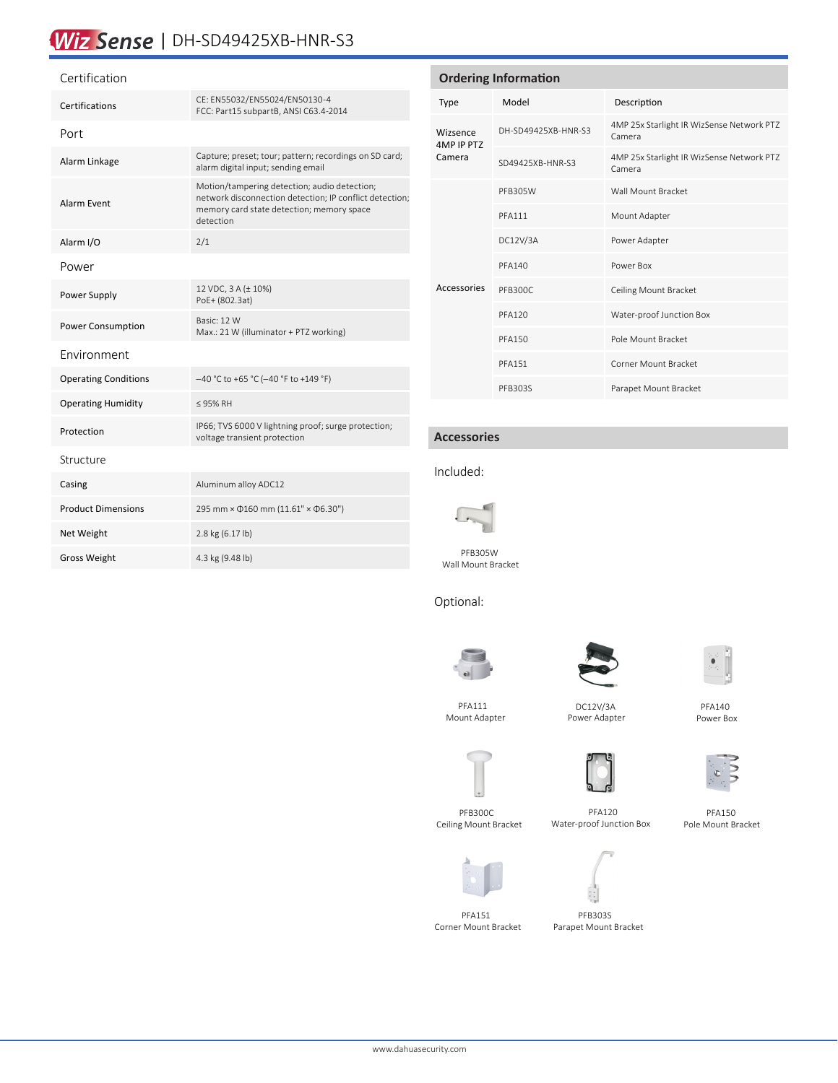## Wiz Sense | DH-SD49425XB-HNR-S3

#### Certification

| Certifications              | CE: EN55032/EN55024/EN50130-4<br>FCC: Part15 subpartB, ANSI C63.4-2014                                                                                            |  |  |  |
|-----------------------------|-------------------------------------------------------------------------------------------------------------------------------------------------------------------|--|--|--|
| Port                        |                                                                                                                                                                   |  |  |  |
| Alarm Linkage               | Capture; preset; tour; pattern; recordings on SD card;<br>alarm digital input; sending email                                                                      |  |  |  |
| Alarm Event                 | Motion/tampering detection; audio detection;<br>network disconnection detection; IP conflict detection;<br>memory card state detection; memory space<br>detection |  |  |  |
| Alarm I/O                   | 2/1                                                                                                                                                               |  |  |  |
| Power                       |                                                                                                                                                                   |  |  |  |
| Power Supply                | 12 VDC, 3 A (± 10%)<br>PoE+ (802.3at)                                                                                                                             |  |  |  |
| Power Consumption           | Basic: 12 W<br>Max.: 21 W (illuminator + PTZ working)                                                                                                             |  |  |  |
| Fnvironment                 |                                                                                                                                                                   |  |  |  |
| <b>Operating Conditions</b> | -40 °C to +65 °C (-40 °F to +149 °F)                                                                                                                              |  |  |  |
| <b>Operating Humidity</b>   | ≤ 95% RH                                                                                                                                                          |  |  |  |
| Protection                  | IP66; TVS 6000 V lightning proof; surge protection;<br>voltage transient protection                                                                               |  |  |  |
| Structure                   |                                                                                                                                                                   |  |  |  |
| Casing                      | Aluminum alloy ADC12                                                                                                                                              |  |  |  |
| <b>Product Dimensions</b>   | 295 mm × $\Phi$ 160 mm (11.61" × $\Phi$ 6.30")                                                                                                                    |  |  |  |
| Net Weight                  | 2.8 kg (6.17 lb)                                                                                                                                                  |  |  |  |
| <b>Gross Weight</b>         | 4.3 kg (9.48 lb)                                                                                                                                                  |  |  |  |

### **Ordering Information** Type Model Description Wizsence 4MP IP PTZ Camera DH-SD49425XB-HNR-S3 4MP 25x Starlight IR WizSense Network PTZ Camera SD49425XB-HNR-S3 4MP 25x Starlight IR WizSense Network PTZ Camera Accessories PFB305W Wall Mount Bracket PFA111 Mount Adapter DC12V/3A Power Adapter PFA140 Power Box PFB300C Ceiling Mount Bracket PFA120 Water-proof Junction Box PFA150 Pole Mount Bracket PFA151 Corner Mount Bracket

PFB303S Parapet Mount Bracket

#### **Accessories**

Included:



 PFB305W Wall Mount Bracket

### Optional:



 PFA111 Mount Adapter





 PFA140 Power Box



 DC12V/3A Power Adapter







 PFA120 Water-proof Junction Box



 PFA151 Corner Mount Bracket



 PFB303S Parapet Mount Bracket